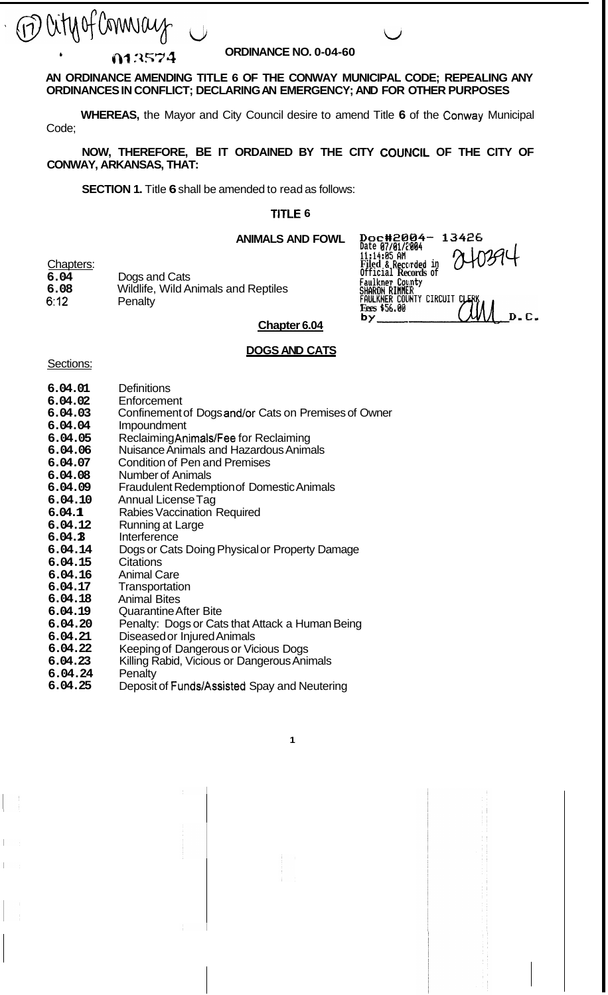M lity of Connice

*<sup>b</sup>***ORDINANCE NO. 0-04-60 Ir)? .=4574** 

# **AN ORDINANCE AMENDING TITLE 6 OF THE CONWAY MUNICIPAL CODE; REPEALING ANY ORDINANCES IN CONFLICT; DECLARING AN EMERGENCY; AND FOR OTHER PURPOSES**

**WHEREAS,** the Mayor and City Council desire to amend Title **6** of the Conway Municipal Code;

**CONWAY, ARKANSAS, THAT:**  NOW, THEREFORE, BE IT ORDAINED BY THE CITY COUNCIL OF THE CITY OF

**SECTION 1.** Title **6** shall be amended to read as follows:

## **TITLE 6**

**ANIMALS AND FOWL ~0~~20134-** *13426* 

| Chapters: |                                            |
|-----------|--------------------------------------------|
| 6.04      | Dogs and Cats                              |
| 6.08      | <b>Wildlife, Wild Animals and Reptiles</b> |
| 6:12.     | Penalty                                    |

# **Fees \$56.00 Chapter 6.04**

Date *07/817c1094*<br>11:14:05 AM<br>Filed & Recorded in 2403944<br>Official Records of

**ll:14:0f AM Filed** *Ii* **Reccirded in Official Records of Faulkner County<br>SHARON RIMMER** 

# **DOGS AND CATS**

**1** 

#### Sections:

- **6.04.01 Definitions**
- **6.04.02 Enforcement**
- **6.04.03**  Confinement of Dogs and/or Cats on Premises of Owner
- **6.04.04**  Impoundment
- **6.04.05**  Reclaiming Animals/Fee for Reclaiming
- **6.04.06**  Nuisance Animals and Hazardous Animals
- **6.04.07**  Condition of Pen and Premises
- **6.04.08**  Number of Animals
- **6.04.09**  Fraudulent Redemption of Domestic Animals
- **6.04.10**  Annual License Tag
- **6.04.1 1**  Rabies Vaccination Required
- **6.04.12**  Running at Large
- **6.04.1 3**  Interference
- **6.04.14**  Dogs or Cats Doing Physical or Property Damage
- **6.04.15 Citations**
- **6.04.16 6.04.17**  Animal Care **Transportation**
- **6.04.18**  Animal Bites
- **6.04.19**  Quarantine After Bite
- **6.04.20**  Penalty: Dogs or Cats that Attack a Human Being
- **6.04.21**  Diseased or Injured Animals
- **6.04.22**  Keeping of Dangerous or Vicious Dogs
- **6.04.23**  Killing Rabid, Vicious or Dangerous Animals
- **6.04.24 Penalty**
- **6.04.25**  Deposit of FundsjAssisted Spay and Neutering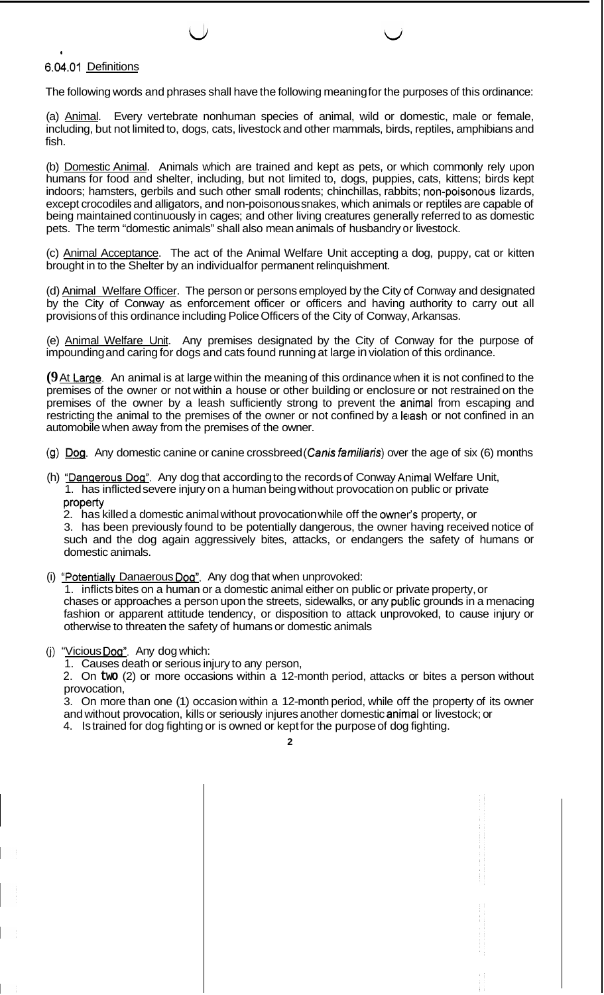# **6.04.01** Definitions

**I** 

The following words and phrases shall have the following meaning for the purposes of this ordinance:

(a) Animal. Every vertebrate nonhuman species of animal, wild or domestic, male or female, including, but not limited to, dogs, cats, livestock and other mammals, birds, reptiles, amphibians and fish.

(b) Domestic Animal. Animals which are trained and kept as pets, or which commonly rely upon humans for food and shelter, including, but not limited to, dogs, puppies, cats, kittens; birds kept indoors; hamsters, gerbils and such other small rodents; chinchillas, rabbits; non-poisonous lizards, except crocodiles and alligators, and non-poisonous snakes, which animals or reptiles are capable of being maintained continuously in cages; and other living creatures generally referred to as domestic pets. The term "domestic animals" shall also mean animals of husbandry or livestock.

(c) Animal Acceptance. The act of the Animal Welfare Unit accepting a dog, puppy, cat or kitten brought in to the Shelter by an individual for permanent relinquishment.

(d) Animal Welfare Officer. The person or persons employed by the City of Conway and designated by the City of Conway as enforcement officer or officers and having authority to carry out all provisions of this ordinance including Police Officers of the City of Conway, Arkansas.

(e) Animal Welfare Unit. Any premises designated by the City of Conway for the purpose of impounding and caring for dogs and cats found running at large in violation of this ordinance.

**(9** At Larqe. An animal is at large within the meaning of this ordinance when it is not confined to the premises of the owner or not within a house or other building or enclosure or not restrained on the premises of the owner by a leash sufficiently strong to prevent the animal from escaping and restricting the animal to the premises of the owner or not confined by a leash or not confined in an automobile when away from the premises of the owner.

- (g) Dog. Any domestic canine or canine crossbreed (Canis familiaris) over the age of six (6) months
- (h) "Danqerous Dog". Any dog that according to the records of Conway Animal Welfare Unit, 1. has inflicted severe injury on a human being without provocation on public or private property
	- 2. has killed a domestic animal without provocation while off the owner"' property, or

3. has been previously found to be potentially dangerous, the owner having received notice of such and the dog again aggressively bites, attacks, or endangers the safety of humans or domestic animals.

(i) "Potentiallv Danaerous **Dog".** Any dog that when unprovoked:

1. inflicts bites on a human or a domestic animal either on public or private property, or chases or approaches a person upon the streets, sidewalks, or any public grounds in a menacing fashion or apparent attitude tendency, or disposition to attack unprovoked, to cause injury or otherwise to threaten the safety of humans or domestic animals

(j) "Vicious Dog". Any dog which:

1. Causes death or serious injury to any person,

2. On **two** (2) or more occasions within a 12-month period, attacks or bites a person without provocation,

3. On more than one (1) occasion within a 12-month period, while off the property of its owner and without provocation, kills or seriously injures another domestic animal or livestock; or 4. Is trained for dog fighting or is owned or kept for the purpose of dog fighting.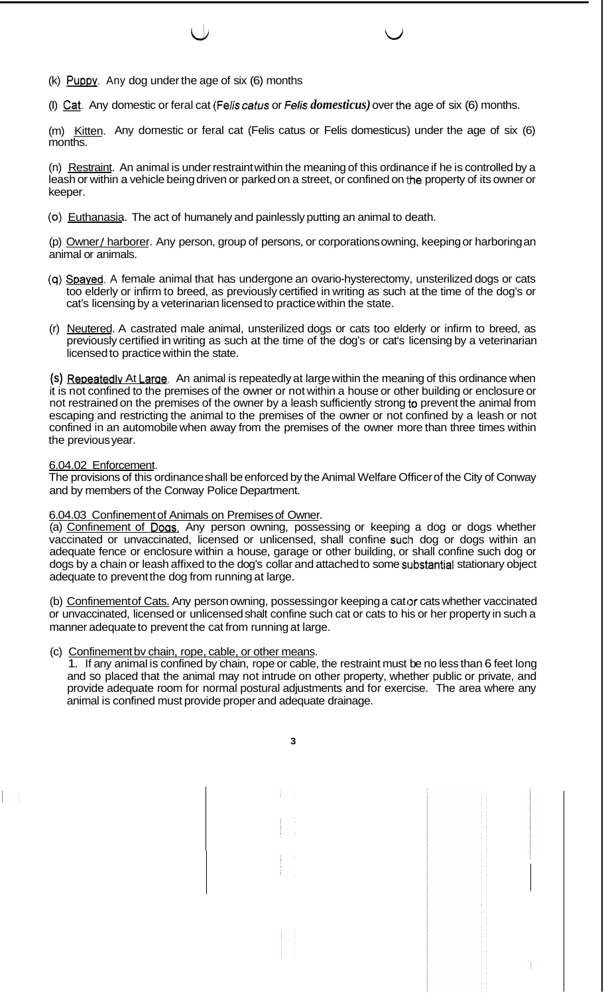- (k)  $P$ uppy. Any dog under the age of six (6) months
- (I) @. Any domestic or feral cat (Felis *catus* or *felis domesticus)* over the age of six (6) months.

(m) Kitten. Any domestic or feral cat (Felis catus or Felis domesticus) under the age of six (6) months.

 $\cup$ 

(n) Restraint. An animal is under restraint within the meaning of this ordinance if he is controlled by a leash or within a vehicle being driven or parked on a street, or confined on the property of its owner or keeper.

*(0)* Euthanasia. The act of humanely and painlessly putting an animal to death.

(p) Owner / harborer. Any person, group of persons, or corporations owning, keeping or harboring an animal or animals.

- (4) Spaved. A female animal that has undergone an ovario-hysterectomy, unsterilized dogs or cats too elderly or infirm to breed, as previously certified in writing as such at the time of the dog's or cat's licensing by a veterinarian licensed to practice within the state.
- (r) Neutered. A castrated male animal, unsterilized dogs or cats too elderly or infirm to breed, as previously certified in writing as such at the time of the dog's or cat's licensing by a veterinarian licensed to practice within the state.

(s) Repeatedly At Large. An animal is repeatedly at large within the meaning of this ordinance when it is not confined to the premises of the owner or not within a house or other building or enclosure or not restrained on the premises of the owner by a leash sufficiently strong to prevent the animal from escaping and restricting the animal to the premises of the owner or not confined by a leash or not confined in an automobile when away from the premises of the owner more than three times within the previous year.

# 6.04.02 Enforcement.

The provisions of this ordinance shall be enforced by the Animal Welfare Officer of the City of Conway and by members of the Conway Police Department.

#### 6.04.03 Confinement of Animals on Premises of Owner.

(a) Confinement of **Doas.** Any person owning, possessing or keeping a dog or dogs whether vaccinated or unvaccinated, licensed or unlicensed, shall confine such dog or dogs within an adequate fence or enclosure within a house, garage or other building, or shall confine such dog or dogs by a chain or leash affixed to the dog's collar and attached to some substantial stationary object adequate to prevent the dog from running at large.

(b) Confinement of Cats. Any person owning, possessing or keeping a cat or cats whether vaccinated or unvaccinated, licensed or unlicensed shalt confine such cat or cats to his or her property in such a manner adequate to prevent the cat from running at large.

#### (c) Confinement bv chain, rope, cable, or other means.

1. If any animal is confined by chain, rope or cable, the restraint must be no less than 6 feet long and so placed that the animal may not intrude on other property, whether public or private, and provide adequate room for normal postural adjustments and for exercise. The area where any animal is confined must provide proper and adequate drainage.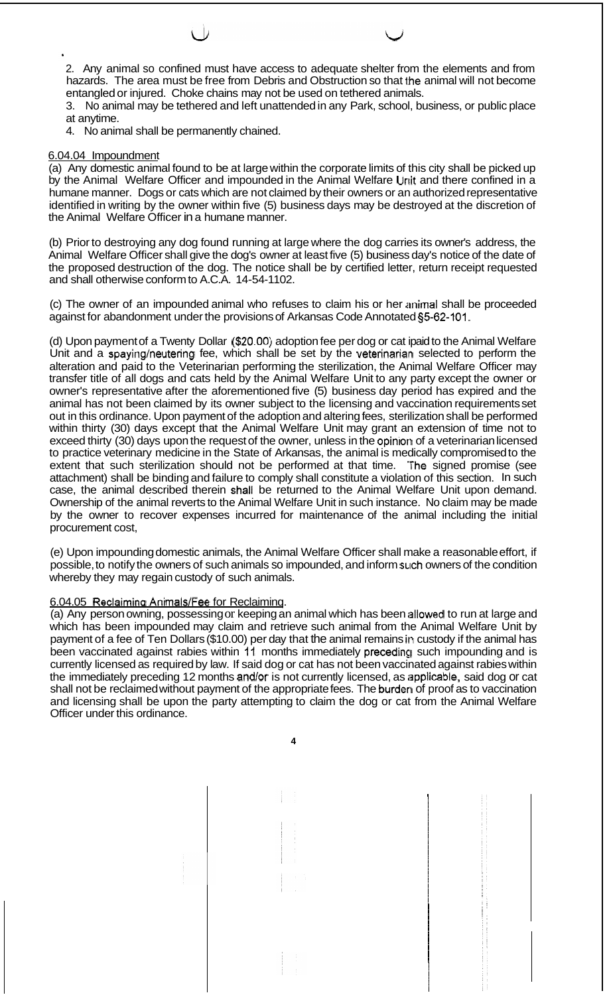2. Any animal so confined must have access to adequate shelter from the elements and from hazards. The area must be free from Debris and Obstruction so that the animal will not become entangled or injured. Choke chains may not be used on tethered animals.

3. No animal may be tethered and left unattended in any Park, school, business, or public place at anytime.

4. No animal shall be permanently chained.

## 6.04.04 Impoundment

(a) Any domestic animal found to be at large within the corporate limits of this city shall be picked up by the Animal Welfare Officer and impounded in the Animal Welfare Unit and there confined in a humane manner. Dogs or cats which are not claimed by their owners or an authorized representative identified in writing by the owner within five (5) business days may be destroyed at the discretion of the Animal Welfare Officer in a humane manner.

(b) Prior to destroying any dog found running at large where the dog carries its owner's address, the Animal Welfare Officer shall give the dog's owner at least five (5) business day's notice of the date of the proposed destruction of the dog. The notice shall be by certified letter, return receipt requested and shall otherwise conform to A.C.A. 14-54-1102.

(c) The owner of an impounded animal who refuses to claim his or her animal shall be proceeded against for abandonment under the provisions of Arkansas Code Annotated §5-62-101.

(d) Upon payment of a Twenty Dollar **(\$20.00)** adoption fee per dog or cat ipaid to the Animal Welfare Unit and a spaying/neutering fee, which shall be set by the veterinarian selected to perform the alteration and paid to the Veterinarian performing the sterilization, the Animal Welfare Officer may transfer title of all dogs and cats held by the Animal Welfare Unit to any party except the owner or owner's representative after the aforementioned five (5) business day period has expired and the animal has not been claimed by its owner subject to the licensing and vaccination requirements set out in this ordinance. Upon payment of the adoption and altering fees, sterilization shall be performed within thirty (30) days except that the Animal Welfare Unit may grant an extension of time not to exceed thirty (30) days upon the request of the owner, unless in the opiniori of a veterinarian licensed to practice veterinary medicine in the State of Arkansas, the animal is medically compromised to the extent that such sterilization should not be performed at that time. 'The signed promise (see attachment) shall be binding and failure to comply shall constitute a violation of this section. In such case, the animal described therein shall be returned to the Animal Welfare Unit upon demand. Ownership of the animal reverts to the Animal Welfare Unit in such instance. No claim may be made by the owner to recover expenses incurred for maintenance of the animal including the initial procurement cost,

(e) Upon impounding domestic animals, the Animal Welfare Officer shall make a reasonable effort, if possible, to notify the owners of such animals so impounded, and inform such owners of the condition whereby they may regain custody of such animals.

#### 6.04.05 Reclaiming Animals/Fee for Reclaiming.

(a) Any person owning, possessing or keeping an animal which has been idlowed to run at large and which has been impounded may claim and retrieve such animal from the Animal Welfare Unit by payment of a fee of Ten Dollars (\$10.00) per day that the animal remains in custody if the animal has been vaccinated against rabies within 11 months immediately precedinq such impounding and is currently licensed as required by law. If said dog or cat has not been vaccinated against rabies within the immediately preceding 12 months and/or is not currently licensed, as applicable, said dog or cat shall not be reclaimed without payment of the appropriate fees. The burderi of proof as to vaccination and licensing shall be upon the party attempting to claim the dog or cat from the Animal Welfare Officer under this ordinance.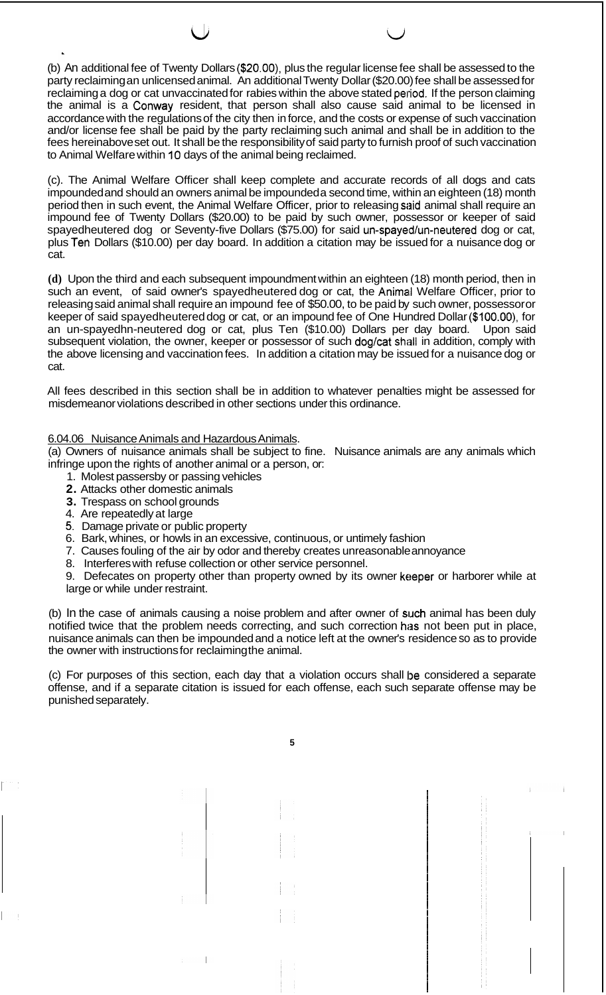(b) An additional fee of Twenty Dollars **(\$20.00),** plus the regular license fee shall be assessed to the party reclaiming an unlicensed animal. An additional Twenty Dollar (\$20.00) fee shall be assessed for reclaiming a dog or cat unvaccinated for rabies within the above stated period. If the person claiming the animal is a Conway resident, that person shall also cause said animal to be licensed in accordance with the regulations of the city then in force, and the costs or expense of such vaccination and/or license fee shall be paid by the party reclaiming such animal and shall be in addition to the fees hereinabove set out. It shall be the responsibility of said party to furnish proof of such vaccination to Animal Welfare within 10 days of the animal being reclaimed.

 $\cup$ 

(c). The Animal Welfare Officer shall keep complete and accurate records of all dogs and cats impounded and should an owners animal be impounded a second time, within an eighteen (18) month period then in such event, the Animal Welfare Officer, prior to releasing said animal shall require an impound fee of Twenty Dollars (\$20.00) to be paid by such owner, possessor or keeper of said spayedheutered dog or Seventy-five Dollars (\$75.00) for said un-spayed/un-neutered dog or cat, plus Teh Dollars (\$10.00) per day board. In addition a citation may be issued for a nuisance dog or cat.

**(d)** Upon the third and each subsequent impoundment within an eighteen (18) month period, then in such an event, of said owner's spayedheutered dog or cat, the Animal Welfare Officer, prior to releasing said animal shall require an impound fee of \$50.00, to be paid by such owner, possessor or keeper of said spayedheutered dog or cat, or an impound fee of One Hundred Dollar (\$100.00), for an un-spayedhn-neutered dog or cat, plus Ten (\$10.00) Dollars per day board. Upon said subsequent violation, the owner, keeper or possessor of such dog/cat shall in addition, comply with the above licensing and vaccination fees. In addition a citation may be issued for a nuisance dog or cat.

All fees described in this section shall be in addition to whatever penalties might be assessed for misdemeanor violations described in other sections under this ordinance.

#### 6.04.06 Nuisance Animals and Hazardous Animals.

(a) Owners of nuisance animals shall be subject to fine. Nuisance animals are any animals which infringe upon the rights of another animal or a person, or:

- 1. Molest passersby or passing vehicles
- **2.** Attacks other domestic animals
- **3.** Trespass on school grounds
- 4. Are repeatedly at large
- *5.* Damage private or public property
- 6. Bark, whines, or howls in an excessive, continuous, or untimely fashion
- 7. Causes fouling of the air by odor and thereby creates unreasonable annoyance
- 8. Interferes with refuse collection or other service personnel.

9. Defecates on property other than property owned by its owner keeper or harborer while at large or while under restraint.

(b) In the case of animals causing a noise problem and after owner of such animal has been duly notified twice that the problem needs correcting, and such correction has not been put in place, nuisance animals can then be impounded and a notice left at the owner's residence so as to provide the owner with instructions for reclaiming the animal.

(c) For purposes of this section, each day that a violation occurs shall be considered a separate offense, and if a separate citation is issued for each offense, each such separate offense may be punished separately.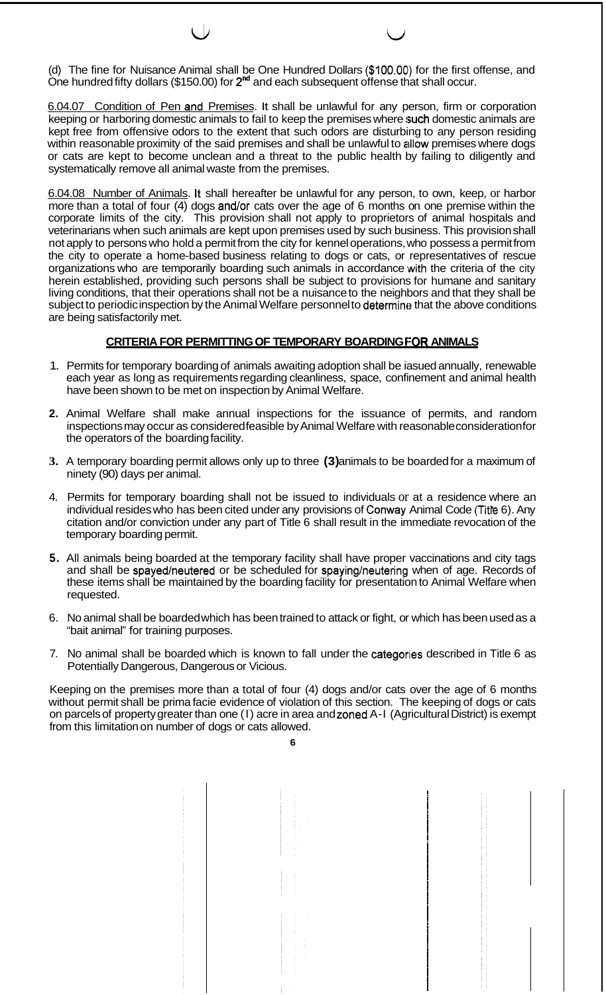(d) The fine for Nuisance Animal shall be One Hundred Dollars **(\$100.00~)** for the first offense, and One hundred fifty dollars (\$150.00) for 2<sup>nd</sup> and each subsequent offense that shall occur.

 $\overline{\phantom{a}}$ 

6.04.07 Condition of Pen and Premises. It shall be unlawful for any person, firm or corporation keeping or harboring domestic animals to fail to keep the premises where such domestic animals are kept free from offensive odors to the extent that such odors are disturbing to any person residing within reasonable proximity of the said premises and shall be unlawful to allow premises where dogs or cats are kept to become unclean and a threat to the public health by failing to diligently and systematically remove all animal waste from the premises.

6.04.08 Number of Animals. It shall hereafter be unlawful for any person, to own, keep, or harbor more than a total of four (4) dogs and/or cats over the age of 6 months on one premise within the corporate limits of the city. This provision shall not apply to proprietors of animal hospitals and veterinarians when such animals are kept upon premises used by such business. This provision shall not apply to persons who hold a permit from the city for kennel operations, who possess a permit from the city to operate a home-based business relating to dogs or cats, or representatives of rescue organizations who are temporarily boarding such animals in accordance with the criteria of the city herein established, providing such persons shall be subject to provisions for humane and sanitary living conditions, that their operations shall not be a nuisance to the neighbors and that they shall be subject to periodic inspection by the Animal Welfare personnel to determine that the above conditions are being satisfactorily met.

# **CRITERIA FOR PERMITTING OF TEMPORARY BOARDING FOR ANIMALS**

- 1. Permits for temporary boarding of animals awaiting adoption shall be iasued annually, renewable each year as long as requirements regarding cleanliness, space, confinement and animal health have been shown to be met on inspection by Animal Welfare.
- **2.**  Animal Welfare shall make annual inspections for the issuance of permits, and random inspections may occur as considered feasible by Animal Welfare with reasonable consideration for the operators of the boarding facility.
- **3.**  A temporary boarding permit allows only up to three **(3)** animals to be boarded for a maximum of ninety (90) days per animal.
- 4. Permits for temporary boarding shall not be issued to individuals or at a residence where an individual resides who has been cited under any provisions of Conway Animal Code (Title 6). Any citation and/or conviction under any part of Title 6 shall result in the immediate revocation of the temporary boarding permit.
- **5.**  All animals being boarded at the temporary facility shall have proper vaccinations and city tags and shall be spayed/neutered or be scheduled for spaying/neutering when of age. Records of these items shall be maintained by the boarding facility for presentation to Animal Welfare when requested.
- 6. No animal shall be boarded which has been trained to attack or fight, or which has been used as a "bait animal" for training purposes.
- 7. No animal shall be boarded which is known to fall under the categories described in Title 6 as Potentially Dangerous, Dangerous or Vicious.

Keeping on the premises more than a total of four (4) dogs and/or cats over the age of 6 months without permit shall be prima facie evidence of violation of this section. The keeping of dogs or cats on parcels of property greater than one (I) acre in area and zoned A-I (Agricultural District) is exempt from this limitation on number of dogs or cats allowed.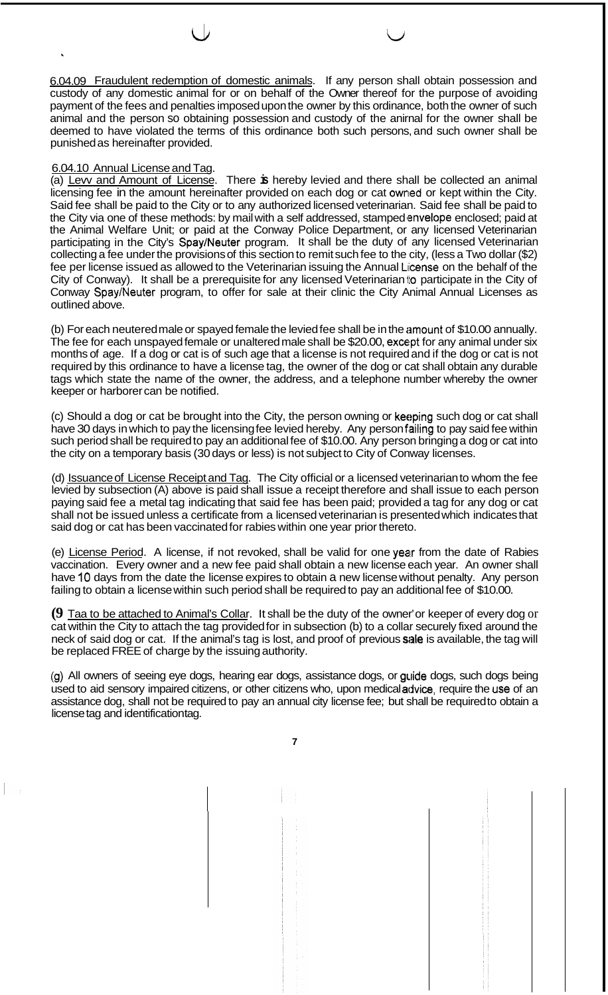6.04.09 Fraudulent redemption of domestic animals. If any person shall obtain possession and custody of any domestic animal for or on behalf of the Owner thereof for the purpose of avoiding payment of the fees and penalties imposed upon the owner by this ordinance, both the owner of such animal and the person so obtaining possession and custody of the anirnal for the owner shall be deemed to have violated the terms of this ordinance both such persons, and such owner shall be punished as hereinafter provided.

 $\cup$ 

## 6.04.10 Annual License and Tag.

(a) Levv and Amount of License. There **is** hereby levied and there shall be collected an animal licensing fee in the amount hereinafter provided on each dog or cat owned or kept within the City. Said fee shall be paid to the City or to any authorized licensed veterinarian. Said fee shall be paid to the City via one of these methods: by mail with a self addressed, stamped envelope enclosed; paid at the Animal Welfare Unit; or paid at the Conway Police Department, or any licensed Veterinarian participating in the City's Spay/Neuter program. It shall be the duty of any licensed Veterinarian collecting a fee under the provisions of this section to remit such fee to the city, (less a Two dollar (\$2) fee per license issued as allowed to the Veterinarian issuing the Annual License on the behalf of the City of Conway). It shall be a prerequisite for any licensed Veterinarian to participate in the City of Conway SpaylNeuter program, to offer for sale at their clinic the City Animal Annual Licenses as outlined above.

(b) For each neutered male or spayed female the levied fee shall be in the amount of \$10.00 annually. The fee for each unspayed female or unaltered male shall be \$20.00, except for any animal under six months of age. If a dog or cat is of such age that a license is not required and if the dog or cat is not required by this ordinance to have a license tag, the owner of the dog or cat shall obtain any durable tags which state the name of the owner, the address, and a telephone number whereby the owner keeper or harborer can be notified.

(c) Should a dog or cat be brought into the City, the person owning or keeping such dog or cat shall have 30 days in which to pay the licensing fee levied hereby. Any person failing to pay said fee within such period shall be required to pay an additional fee of \$10.00. Any person bringing a dog or cat into the city on a temporary basis (30 days or less) is not subject to City of Conway licenses.

(d) Issuance of License Receipt and Tag. The City official or a licensed veterinarian to whom the fee levied by subsection (A) above is paid shall issue a receipt therefore and shall issue to each person paying said fee a metal tag indicating that said fee has been paid; provided a tag for any dog or cat shall not be issued unless a certificate from a licensed veterinarian is presented which indicates that said dog or cat has been vaccinated for rabies within one year prior thereto.

(e) License Period. A license, if not revoked, shall be valid for one year from the date of Rabies vaccination. Every owner and a new fee paid shall obtain a new license each year. An owner shall have **10** days from the date the license expires to obtain a new license without penalty. Any person failing to obtain a license within such period shall be required to pay an additional fee of \$10.00.

**(9** Taa to be attached to Animal's Collar. It shall be the duty of the owner' or keeper of every dog or cat within the City to attach the tag provided for in subsection (b) to a collar securely fixed around the neck of said dog or cat. If the animal's tag is lost, and proof of previous sale is available, the tag will be replaced FREE of charge by the issuing authority.

(9) All owners of seeing eye dogs, hearing ear dogs, assistance dogs, or guide dogs, such dogs being used to aid sensory impaired citizens, or other citizens who, upon medical advice, require the use of an assistance dog, shall not be required to pay an annual city license fee; but shall be required to obtain a license tag and identification tag.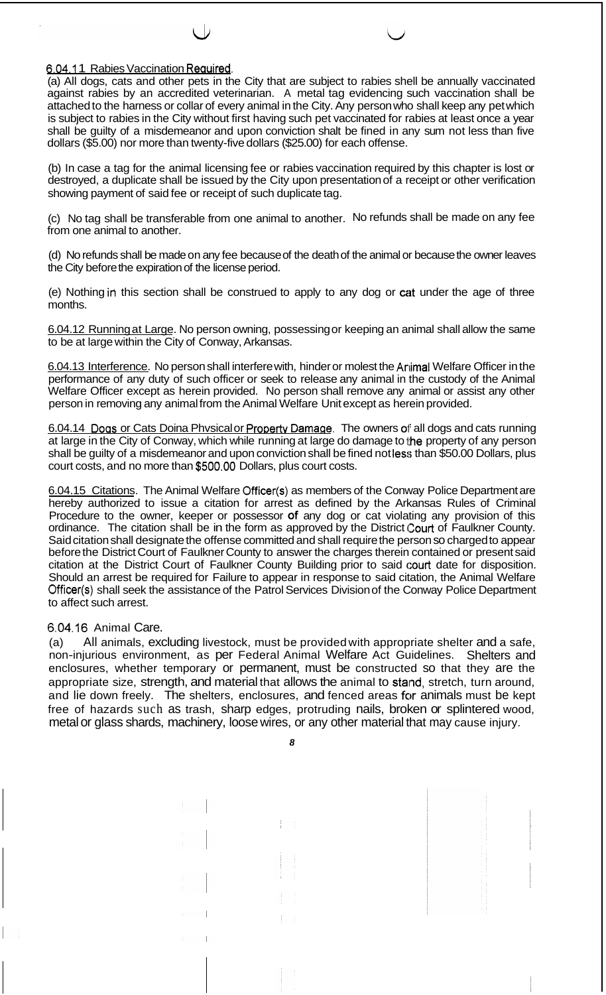## 6.04.11 Rabies Vaccination Required.

(a) All dogs, cats and other pets in the City that are subject to rabies shell be annually vaccinated against rabies by an accredited veterinarian. A metal tag evidencing such vaccination shall be attached to the harness or collar of every animal in the City. Any person who shall keep any pet which is subject to rabies in the City without first having such pet vaccinated for rabies at least once a year shall be guilty of a misdemeanor and upon conviction shalt be fined in any sum not less than five dollars (\$5.00) nor more than twenty-five dollars (\$25.00) for each offense.

(b) In case a tag for the animal licensing fee or rabies vaccination required by this chapter is lost or destroyed, a duplicate shall be issued by the City upon presentation of a receipt or other verification showing payment of said fee or receipt of such duplicate tag.

(c) No tag shall be transferable from one animal to another. No refunds shall be made on any fee from one animal to another.

(d) No refunds shall be made on any fee because of the death of the animal or because the owner leaves the City before the expiration of the license period.

(e) Nothing in this section shall be construed to apply to any dog or cat under the age of three months.

6.04.12 Running at Large. No person owning, possessing or keeping an animal shall allow the same to be at large within the City of Conway, Arkansas.

6.04.13 Interference. No person shall interfere with, hinder or molest the Animal Welfare Officer in the performance of any duty of such officer or seek to release any animal in the custody of the Animal Welfare Officer except as herein provided. No person shall remove any animal or assist any other person in removing any animal from the Animal Welfare Unit except as herein provided.

6.04.14 Dogs or Cats Doina Physical or Property Damage. The owners of all dogs and cats running at large in the City of Conway, which while running at large do damage to the property of any person shall be guilty of a misdemeanor and upon conviction shall be fined not less than \$50.00 Dollars, plus court costs, and no more than **\$500.00** Dollars, plus court costs.

6.04.15 Citations. The Animal Welfare Officer(s) as members of the Conway Police Department are hereby authorized to issue a citation for arrest as defined by the Arkansas Rules of Criminal Procedure to the owner, keeper or possessor of any dog or cat violating any provision of this ordinance. The citation shall be in the form as approved by the District Court of Faulkner County. Said citation shall designate the offense committed and shall require the person so charged to appear before the District Court of Faulkner County to answer the charges therein contained or present said citation at the District Court of Faulkner County Building prior to said court date for disposition. Should an arrest be required for Failure to appear in response to said citation, the Animal Welfare Officer(s) shall seek the assistance of the Patrol Services Division of the Conway Police Department to affect such arrest.

## **6.04.16** Animal Care.

(a) All animals, excluding livestock, must be provided with appropriate shelter and a safe, non-injurious environment, as per Federal Animal Welfare Act Guidelines. Shelters and enclosures, whether temporary or permanent, must be constructed so that they are the appropriate size, strength, and material that allows the animal to stand, stretch, turn around, and lie down freely. The shelters, enclosures, and fenced areas for animals must be kept free of hazards such as trash, sharp edges, protruding nails, broken or splintered wood, metal or glass shards, machinery, loose wires, or any other material that may cause injury.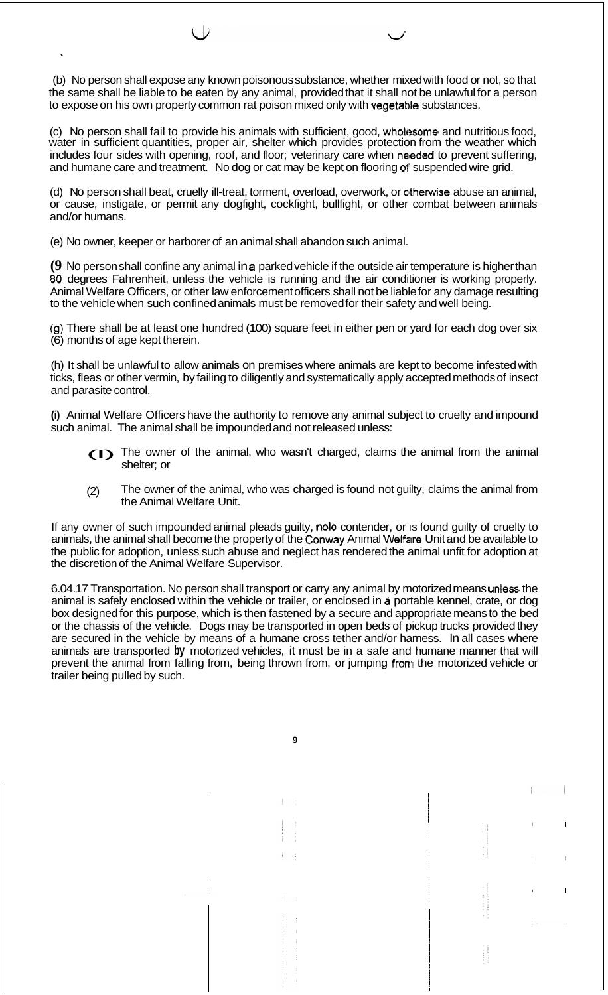(b) No person shall expose any known poisonous substance, whether mixed with food or not, so that the same shall be liable to be eaten by any animal, provided that it shall not be unlawful for a person to expose on his own property common rat poison mixed only with vegetable substances.

(c) No person shall fail to provide his animals with sufficient, good, wholesome and nutritious food, water in sufficient quantities, proper air, shelter which provides protection from the weather which includes four sides with opening, roof, and floor; veterinary care when needed to prevent suffering, and humane care and treatment. No dog or cat may be kept on flooring of' suspended wire grid.

(d) No person shall beat, cruelly ill-treat, torment, overload, overwork, or otherwise abuse an animal, or cause, instigate, or permit any dogfight, cockfight, bullfight, or other combat between animals and/or humans.

(e) No owner, keeper or harborer of an animal shall abandon such animal.

**(9** No person shall confine any animal in **a** parked vehicle if the outside air temperature is higher than **80** degrees Fahrenheit, unless the vehicle is running and the air conditioner is working properly. Animal Welfare Officers, or other law enforcement officers shall not be liable for any damage resulting to the vehicle when such confined animals must be removed for their safety and well being.

(9) There shall be at least one hundred (100) square feet in either pen or yard for each dog over six (6) months of age kept therein.

(h) It shall be unlawful to allow animals on premises where animals are kept to become infested with ticks, fleas or other vermin, by failing to diligently and systematically apply accepted methods of insect and parasite control.

**(i)** Animal Welfare Officers have the authority to remove any animal subject to cruelty and impound such animal. The animal shall be impounded and not released unless:

- (I) The owner of the animal, who wasn't charged, claims the animal from the animal shelter; or
- (2) The owner of the animal, who was charged is found not guilty, claims the animal from the Animal Welfare Unit.

If any owner of such impounded animal pleads guilty, nolo contender, or is found guilty of cruelty to animals, the animal shall become the property of the Conway Animal Welfare Unit and be available to the public for adoption, unless such abuse and neglect has rendered the animal unfit for adoption at the discretion of the Animal Welfare Supervisor.

6.04.17 Transportation. No person shall transport or carry any animal by motorized means unless the animal is safely enclosed within the vehicle or trailer, or enclosed in **a** portable kennel, crate, or dog box designed for this purpose, which is then fastened by a secure and appropriate means to the bed or the chassis of the vehicle. Dogs may be transported in open beds of pickup trucks provided they are secured in the vehicle by means of a humane cross tether and/or harness. In all cases where animals are transported **by** motorized vehicles, it must be in a safe and humane manner that will prevent the animal from falling from, being thrown from, or jumping from the motorized vehicle or trailer being pulled by such.

**9** 

I I

I I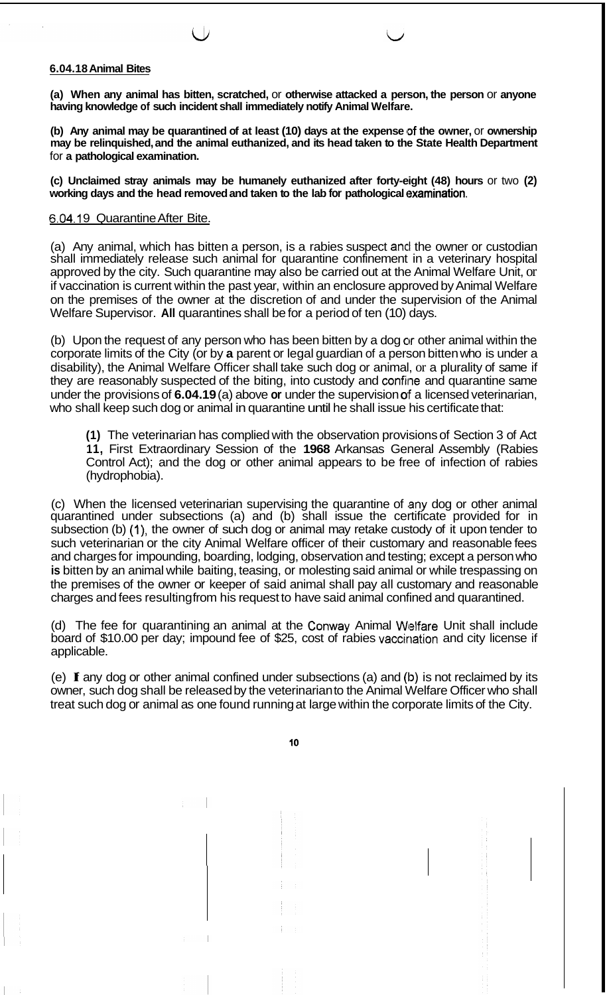## **6.04.18 Animal Bites**

**(a) When any animal has bitten, scratched,** or **otherwise attacked a person, the person** or **anyone having knowledge of such incident shall immediately notify Animal Welfare.** 

(b) Any animal may be quarantined of at least (10) days at the expense of the owner, or ownership **may be relinquished, and the animal euthanized, and its head taken to the State Health Department**  for **a pathological examination.** 

**(c) Unclaimed stray animals may be humanely euthanized after forty-eight (48) hours** or two **(2) working days and the head removed and taken to the lab for pathological examination.** 

#### 6.04.19 Quarantine After Bite.

(a) Any animal, which has bitten a person, is a rabies suspect and the owner or custodian shall immediately release such animal for quarantine confinement in a veterinary hospital approved by the city. Such quarantine may also be carried out at the Animal Welfare Unit, or if vaccination is current within the past year, within an enclosure approved by Animal Welfare on the premises of the owner at the discretion of and under the supervision of the Animal Welfare Supervisor. All quarantines shall be for a period of ten (10) days.

(b) Upon the request of any person who has been bitten by a dog or other animal within the corporate limits of the City (or by **a** parent or legal guardian of a person bitten who is under a disability), the Animal Welfare Officer shall take such dog or animal, or a plurality of same if they are reasonably suspected of the biting, into custody and confine and quarantine same under the provisions of **6.04.19** (a) above **or** under the supervision **of** a licensed veterinarian, who shall keep such dog or animal in quarantine until he shall issue his certificate that:

**(1)** The veterinarian has complied with the observation provisions of Section 3 of Act **1 1,** First Extraordinary Session of the **1968** Arkansas General Assembly (Rabies Control Act); and the dog or other animal appears to be free of infection of rabies (hydrophobia).

(c) When the licensed veterinarian supervising the quarantine of any dog or other animal quarantined under subsections (a) and (b) shall issue the certificate provided for in subsection (b) (I), the owner of such dog or animal may retake custody of it upon tender to such veterinarian or the city Animal Welfare officer of their customary and reasonable fees and charges for impounding, boarding, lodging, observation and testing; except a person who **is** bitten by an animal while baiting, teasing, or molesting said animal or while trespassing on the premises of the owner or keeper of said animal shall pay all customary and reasonable charges and fees resulting from his request to have said animal confined and quarantined.

(d) The fee for quarantining an animal at the Conway Animal Welfare Unit shall include board of \$10.00 per day; impound fee of \$25, cost of rabies vaccination and city license if applicable.

(e) **If** any dog or other animal confined under subsections (a) and **(ID)** is not reclaimed by its owner, such dog shall be released by the veterinarian to the Animal Welfare Officer who shall treat such dog or animal as one found running at large within the corporate limits of the City.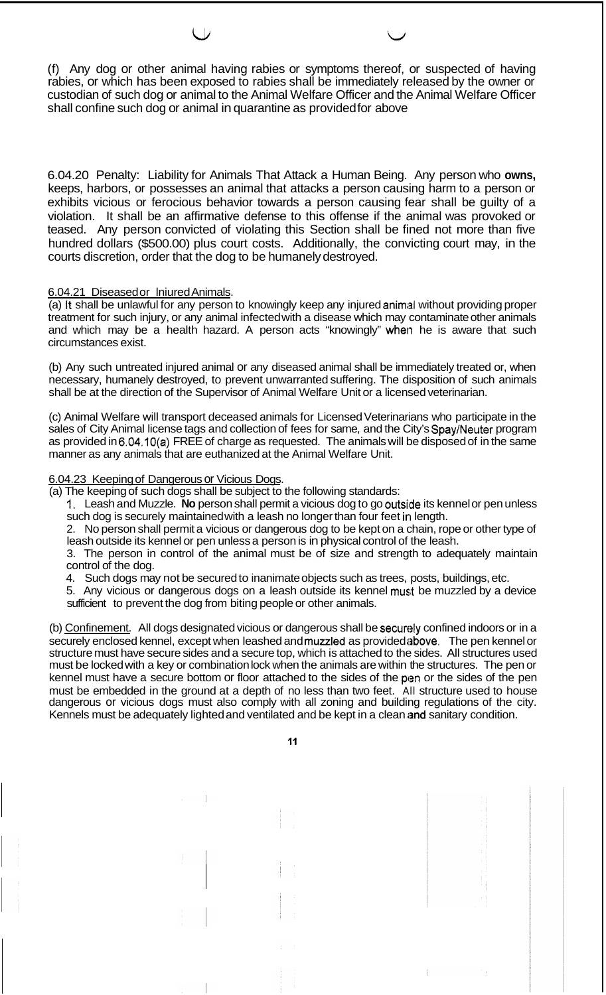(f) Any dog or other animal having rabies or symptoms thereof, or suspected of having rabies, or which has been exposed to rabies shall be immediately released by the owner or custodian of such dog or animal to the Animal Welfare Officer and the Animal Welfare Officer shall confine such dog or animal in quarantine as provided for above

*1Li* Lr

6.04.20 Penalty: Liability for Animals That Attack a Human Being. Any person who **owns,**  keeps, harbors, or possesses an animal that attacks a person causing harm to a person or exhibits vicious or ferocious behavior towards a person causing fear shall be guilty of a violation. It shall be an affirmative defense to this offense if the animal was provoked or teased. Any person convicted of violating this Section shall be fined not more than five hundred dollars (\$500.00) plus court costs. Additionally, the convicting court may, in the courts discretion, order that the dog to be humanely destroyed.

## 6.04.21 Diseased or Iniured Animals.

(a) It shall be unlawful for any person to knowingly keep any injured animal without providing proper treatment for such injury, or any animal infected with a disease which may contaminate other animals and which may be a health hazard. A person acts "knowingly" when he is aware that such circumstances exist.

(b) Any such untreated injured animal or any diseased animal shall be immediately treated or, when necessary, humanely destroyed, to prevent unwarranted suffering. The disposition of such animals shall be at the direction of the Supervisor of Animal Welfare Unit or a licensed veterinarian.

(c) Animal Welfare will transport deceased animals for Licensed Veterinarians who participate in the sales of City Animal license tags and collection of fees for same, and the City's Spay/Neuter program as provided in 6.04.10(a) FREE of charge as requested. The animals will be disposed of in the same manner as any animals that are euthanized at the Animal Welfare Unit.

# 6.04.23 Keeping of Dangerous or Vicious Dogs.

(a) The keeping of such dogs shall be subject to the following standards:

1. Leash and Muzzle. **No** person shall permit a vicious dog to go outsilde its kennel or pen unless such dog is securely maintained with a leash no longer than four feet in length.

2. No person shall permit a vicious or dangerous dog to be kept on a chain, rope or other type of leash outside its kennel or pen unless a person is in physical control of the leash.

3. The person in control of the animal must be of size and strength to adequately maintain control of the dog.

4. Such dogs may not be secured to inanimate objects such as trees, posts, buildings, etc.

5. Any vicious or dangerous dogs on a leash outside its kennel musit be muzzled by a device sufficient to prevent the dog from biting people or other animals.

(b) Confinement. All dogs designated vicious or dangerous shall be securely confined indoors or in a securely enclosed kennel, except when leashed and muzzled as provided above. The pen kennel or structure must have secure sides and a secure top, which is attached to the sides. All structures used must be locked with a key or combination lock when the animals are within the structures. The pen or kennel must have a secure bottom or floor attached to the sides of the pen or the sides of the pen must be embedded in the ground at a depth of no less than two feet. All structure used to house dangerous or vicious dogs must also comply with all zoning and building regulations of the city. Kennels must be adequately lighted and ventilated and be kept in a clean and sanitary condition.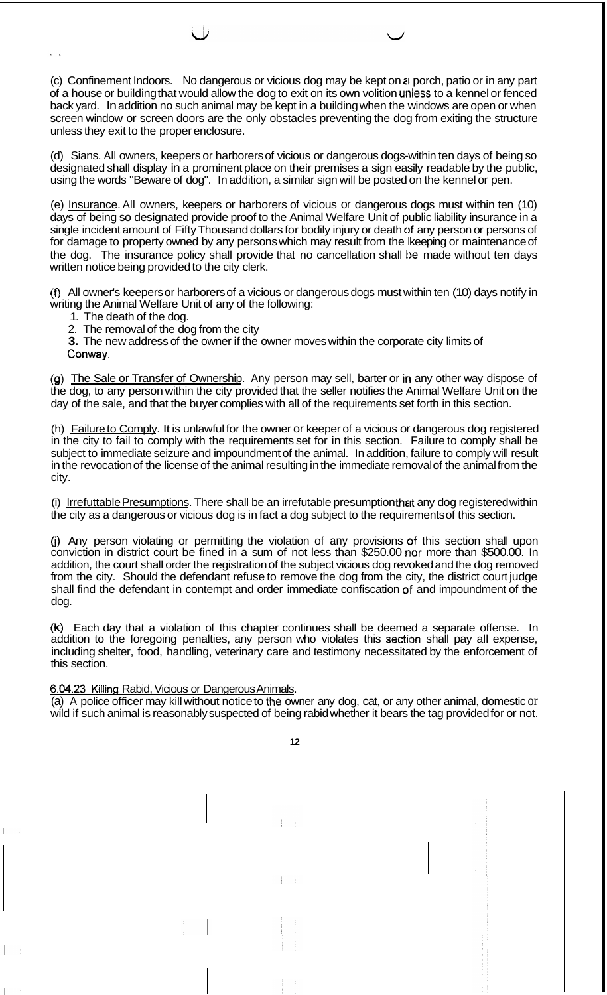(c) Confinement Indoors. No dangerous or vicious dog may be kept on **ii** porch, patio or in any part of a house or building that would allow the dog to exit on its own volition unless to a kennel or fenced back yard. In addition no such animal may be kept in a building when the windows are open or when screen window or screen doors are the only obstacles preventing the dog from exiting the structure unless they exit to the proper enclosure.

(d) Sians. All owners, keepers or harborers of vicious or dangerous dogs-within ten days of being so designated shall display in a prominent place on their premises a sign easily readable by the public, using the words "Beware of dog". In addition, a similar sign will be posted on the kennel or pen.

(e) Insurance. All owners, keepers or harborers of vicious or dangerous dogs must within ten (10) days of being so designated provide proof to the Animal Welfare Unit of public liability insurance in a single incident amount of Fifty Thousand dollars for bodily injury or death of any person or persons of for damage to property owned by any persons which may result from the lkeeping or maintenance of the dog. The insurance policy shall provide that no cancellation shall be made without ten days written notice being provided to the city clerk.

(f) All owner's keepers or harborers of a vicious or dangerous dogs must within ten (10) days notify in writing the Animal Welfare Unit of any of the following:

- 1. The death of the dog.
- 2. The removal of the dog from the city
- **3.** The new address of the owner if the owner moves within the corporate city limits of Conway.

(g) The Sale or Transfer of Ownership. Any person may sell, barter or in any other way dispose of the dog, to any person within the city provided that the seller notifies the Animal Welfare Unit on the day of the sale, and that the buyer complies with all of the requirements set forth in this section.

(h) Failure to Comply. It is unlawful for the owner or keeper of a vicious or dangerous dog registered in the city to fail to comply with the requirements set for in this section. Failure to comply shall be subject to immediate seizure and impoundment of the animal. In addition, failure to comply will result in the revocation of the license of the animal resulting in the immediate removal of the animal from the city.

(i) lrrefuttable Presumptions. There shall be an irrefutable presumption that any dog registered within the city as a dangerous or vicious dog is in fact a dog subject to the requirements of this section.

(j) Any person violating or permitting the violation of any provisions of this section shall upon conviction in district court be fined in a sum of not less than \$250.00 nor more than \$500.00. In addition, the court shall order the registration of the subject vicious dog revoked and the dog removed from the city. Should the defendant refuse to remove the dog from the city, the district court judge shall find the defendant in contempt and order immediate confiscation **OF** and impoundment of the dog.

**(k)** Each day that a violation of this chapter continues shall be deemed a separate offense. In addition to the foregoing penalties, any person who violates this section shall pay all expense, including shelter, food, handling, veterinary care and testimony necessitated by the enforcement of this section.

6.04.23 Killing Rabid, Vicious or Dangerous Animals.

(a) A police officer may kill without notice to the owner any dog, cat, or any other animal, domestic or wild if such animal is reasonably suspected of being rabid whether it bears the tag provided for or not.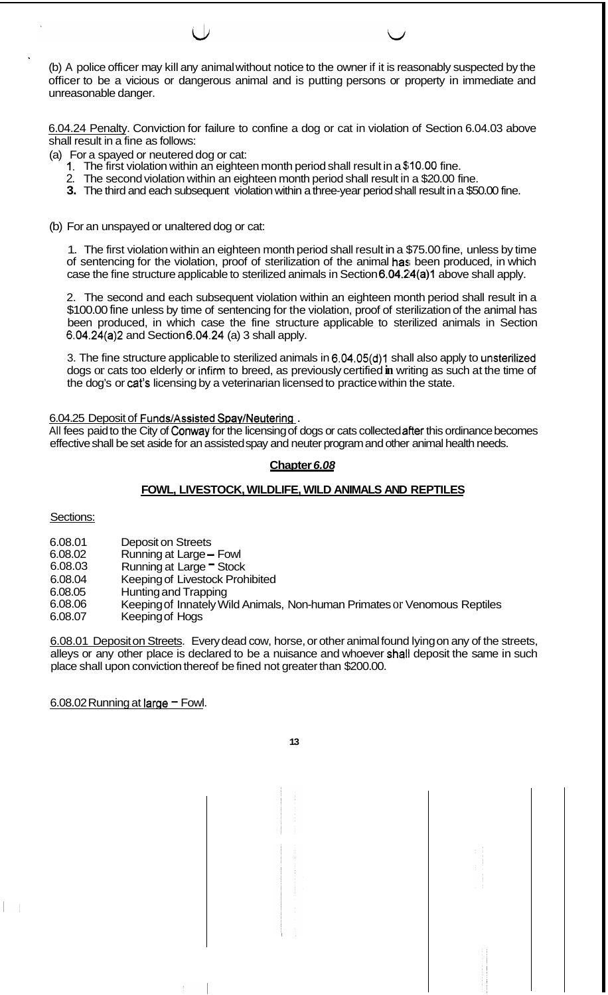' (b) A police officer may kill any animal without notice to the owner if it is reasonably suspected by the officer to be a vicious or dangerous animal and is putting persons or property in immediate and unreasonable danger.

6.04.24 Penalty. Conviction for failure to confine a dog or cat in violation of Section 6.04.03 above shall result in a fine as follows:

- (a) For a spayed or neutered dog or cat:
	- **1.** The first violation within an eighteen month period shall result in a **\$10.00** fine.
	- 2. The second violation within an eighteen month period shall result in a \$20.00 fine.
	- **3.** The third and each subsequent violation within a three-year period shall result in a \$50.00 fine.
- (b) For an unspayed or unaltered dog or cat:

1. The first violation within an eighteen month period shall result in a \$75.00 fine, unless by time of sentencing for the violation, proof of sterilization of the animal has been produced, in which case the fine structure applicable to sterilized animals in Section 6.04.24(a)1 above shall apply.

2. The second and each subsequent violation within an eighteen month period shall result in a \$100.00 fine unless by time of sentencing for the violation, proof of sterilization of the animal has been produced, in which case the fine structure applicable to sterilized animals in Section 6.04.24(a)2 and Section 6.04.24 (a) 3 shall apply.

3. The fine structure applicable to sterilized animals in 6.04.05(d)1 shall also apply to unsterilized dogs or cats too elderly or infirm to breed, as previously certified **in** writing as such at the time of the dog's or cat's licensing by a veterinarian licensed to practice within the state.

6.04.25 Deposit of Funds/Assisted Spay/Neutering.

All fees paid to the City of Conway for the licensing of dogs or cats collected after this ordinance becomes effective shall be set aside for an assisted spay and neuter program and other animal health needs.

# **Chapter** *6.08*

# **FOWL, LIVESTOCK, WILDLIFE, WILD ANIMALS AND REPTILES**

Sections:

- 6.08.01 Deposit on Streets
- 6.08.02 Running at Large - Fowl
- 6.08.03 Running at Large - Stock
- 6.08.04 Keeping of Livestock Prohibited
- 6.08.05 Hunting and Trapping
- 6.08.06 Keeping of Innately Wild Animals, Non-human Primates or Venomous Reptiles
- 6.08.07 Keeping of Hogs

6.08.01 Deposit on Streets. Every dead cow, horse, or other animal found lying on any of the streets, alleys or any other place is declared to be a nuisance and whoever shall deposit the same in such place shall upon conviction thereof be fined not greater than \$200.00.

6.08.02 Running at large  $-$  Fowl.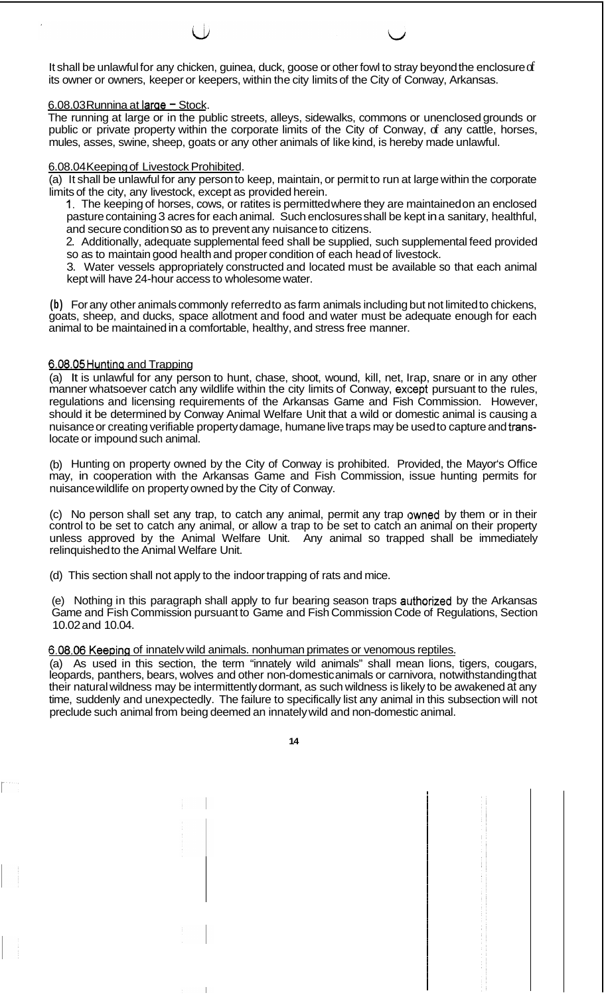It shall be unlawful for any chicken, guinea, duck, goose or other fowl to stray beyond the enclosure of its owner or owners, keeper or keepers, within the city limits of the City of Conway, Arkansas.

## 6.08.03 Runnina at large - Stock.

The running at large or in the public streets, alleys, sidewalks, commons or unenclosed grounds or public or private property within the corporate limits of the City of Conway, of any cattle, horses, mules, asses, swine, sheep, goats or any other animals of like kind, is hereby made unlawful.

#### 6.08.04 Keeping of Livestock Prohibited.

(a) It shall be unlawful for any person to keep, maintain, or permit to run at large within the corporate limits of the city, any livestock, except as provided herein.

1. The keeping of horses, cows, or ratites is permitted where they are maintained on an enclosed pasture containing 3 acres for each animal. Such enclosures shall be kept in a sanitary, healthful, and secure condition so as to prevent any nuisance to citizens.

2. Additionally, adequate supplemental feed shall be supplied, such supplemental feed provided so as to maintain good health and proper condition of each head of livestock.

3. Water vessels appropriately constructed and located must be available so that each animal kept will have 24-hour access to wholesome water.

**(b)** For any other animals commonly referred to as farm animals including but not limited to chickens, goats, sheep, and ducks, space allotment and food and water must be adequate enough for each animal to be maintained in a comfortable, healthy, and stress free manner.

## 6.08.05Huntina and Trapping

(a) It is unlawful for any person to hunt, chase, shoot, wound, kill, net, Irap, snare or in any other manner whatsoever catch any wildlife within the city limits of Conway, except pursuant to the rules, regulations and licensing requirements of the Arkansas Game and Fish Commission. However, should it be determined by Conway Animal Welfare Unit that a wild or domestic animal is causing a nuisance or creating verifiable property damage, humane live traps may be used to capture and translocate or impound such animal.

(b) Hunting on property owned by the City of Conway is prohibited. Provided, the Mayor's Office may, in cooperation with the Arkansas Game and Fish Commission, issue hunting permits for nuisance wildlife on property owned by the City of Conway.

(c) No person shall set any trap, to catch any animal, permit any trap owned by them or in their control to be set to catch any animal, or allow a trap to be set to catch an animal on their property unless approved by the Animal Welfare Unit. Any animal so trapped shall be immediately relinquished to the Animal Welfare Unit.

(d) This section shall not apply to the indoor trapping of rats and mice.

(e) Nothing in this paragraph shall apply to fur bearing season traps authorized by the Arkansas Game and Fish Commission pursuant to Game and Fish Commission Code of Regulations, Section 10.02 and 10.04.

# 6.08.06 Keepina of innatelv wild animals. nonhuman primates or venomous reptiles.

(a) As used in this section, the term "innately wild animals" shall mean lions, tigers, cougars, leopards, panthers, bears, wolves and other non-domestic animals or carnivora, notwithstanding that their natural wildness may be intermittently dormant, as such wildness is likely to be awakened at any time, suddenly and unexpectedly. The failure to specifically list any animal in this subsection will not preclude such animal from being deemed an innately wild and non-domestic animal.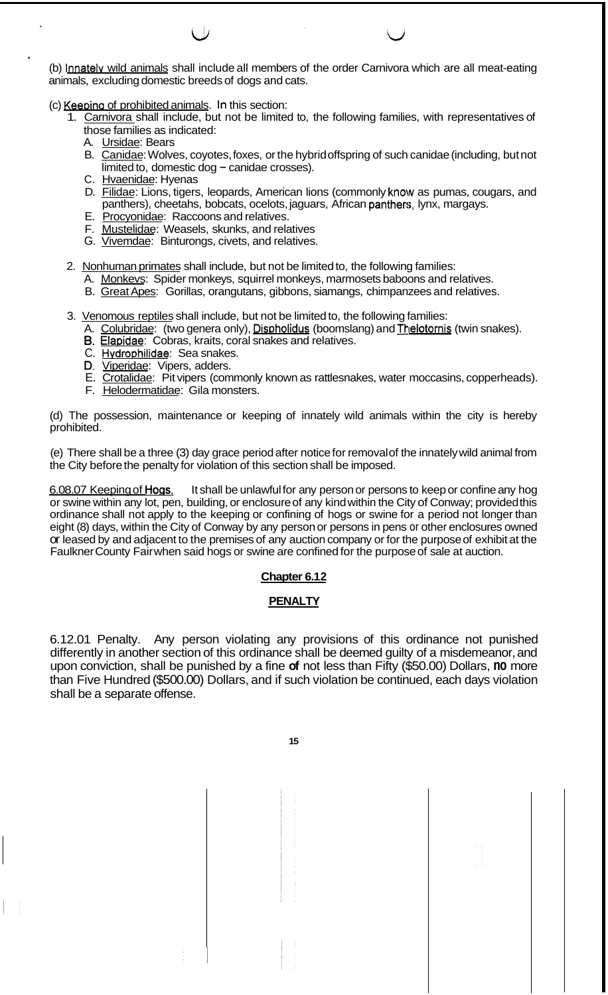(b) Innately wild animals shall include all members of the order Carnivora which are all meat-eating animals, excluding domestic breeds of dogs and cats.

(c) Keeping of prohibited animals. In this section:

- 1. Carnivora shall include, but not be limited to, the following families, with representatives of those families as indicated:
	- A. Ursidae: Bears
	- B. Canidae: Wolves, coyotes, foxes, or the hybrid offspring of such canidae (including, but not  $\overline{\text{limited}}$  to, domestic dog – canidae crosses).
	- C. Hvaenidae: Hyenas
	- D. Filidae: Lions, tigers, leopards, American lions (commonly know as pumas, cougars, and panthers), cheetahs, bobcats, ocelots, jaguars, African panthers, lynx, margays.
	- E. Procyonidae: Raccoons and relatives.
	- F. Mustelidae: Weasels, skunks, and relatives
	- G. Vivemdae: Binturongs, civets, and relatives.
- 2. Nonhuman primates shall include, but not be limited to, the following families:
	- A. Monkeys: Spider monkeys, squirrel monkeys, marmosets baboons and relatives.
	- B. Great Apes: Gorillas, orangutans, gibbons, siamangs, chimpanzees and relatives.
- 3. Venomous reptiles shall include, but not be limited to, the following families:
	- A. Colubridae: (two genera only), Dispholidus (boomslang) and Thelotornis (twin snakes).
	- *6.* Elapidae: Cobras, kraits, coral snakes and relatives.
	- C. Hvdrophilidae: Sea snakes.
	- D. Viperidae: Vipers, adders.
	- E. Crotalidae: Pit vipers (commonly known as rattlesnakes, water moccasins, copperheads).
	- F. Helodermatidae: Gila monsters.

(d) The possession, maintenance or keeping of innately wild animals within the city is hereby prohibited.

(e) There shall be a three (3) day grace period after notice for removal of the innately wild animal from the City before the penalty for violation of this section shall be imposed.

6.08.07 Keeping of Hogs. It shall be unlawful for any person or persons to keep or confine any hog or swine within any lot, pen, building, or enclosure of any kind within the City of Conway; provided this ordinance shall not apply to the keeping or confining of hogs or swine for a period not longer than eight (8) days, within the City of Conway by any person or persons in pens or other enclosures owned or leased by and adjacent to the premises of any auction company or for the purpose of exhibit at the Faulkner County Fair when said hogs or swine are confined for the purpose of sale at auction.

# **Chapter 6.1 2**

# **PENALTY**

6.12.01 Penalty. Any person violating any provisions of this ordinance not punished differently in another section of this ordinance shall be deemed guilty of a misdemeanor, and upon conviction, shall be punished by a fine **of** not less than Fifty (\$50.00) Dollars, **no** more than Five Hundred (\$500.00) Dollars, and if such violation be continued, each days violation shall be a separate offense.